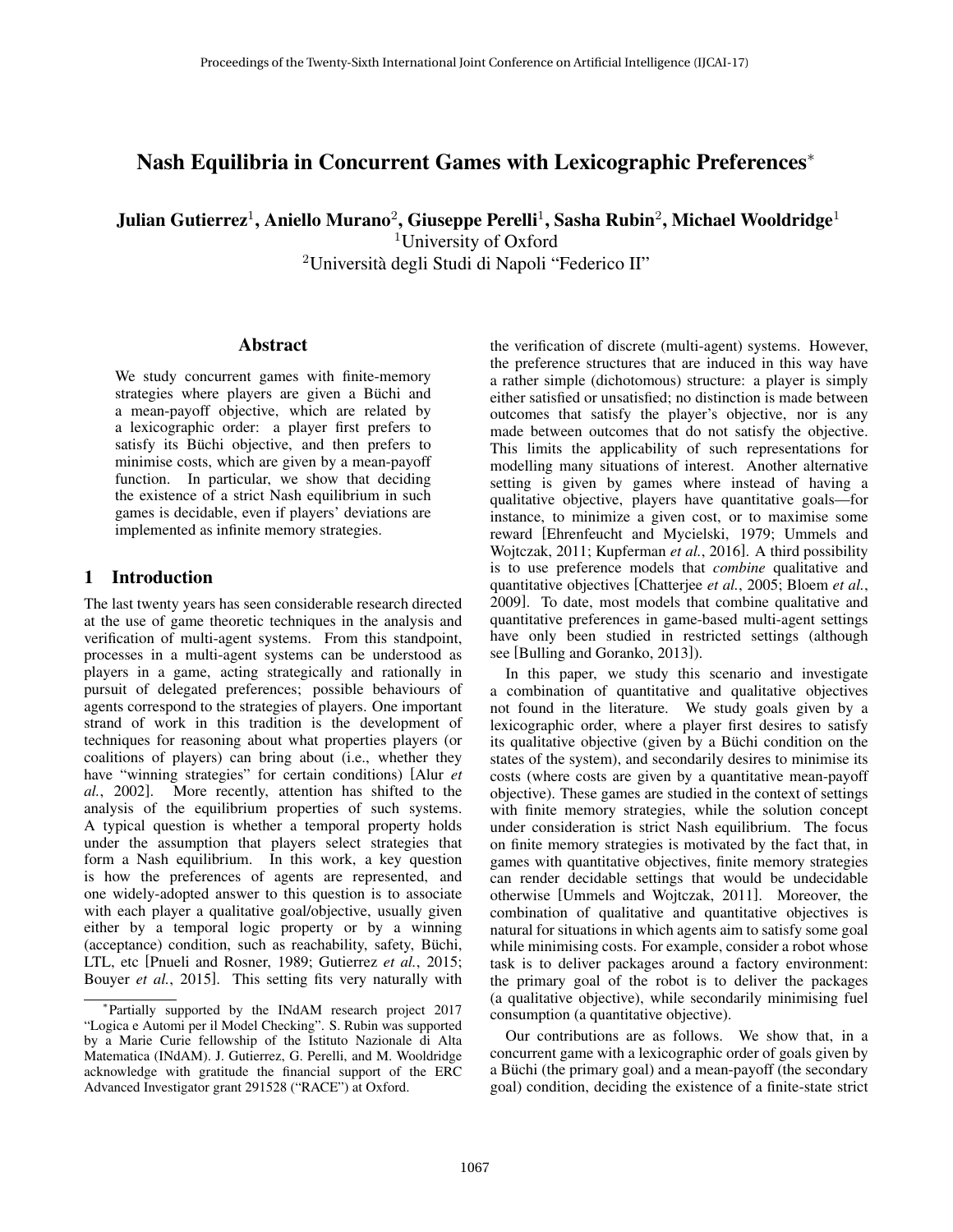# Nash Equilibria in Concurrent Games with Lexicographic Preferences<sup>∗</sup>

Julian Gutierrez $^1$ , Aniello Murano $^2$ , Giuseppe Perelli $^1$ , Sasha Rubin $^2$ , Michael Wooldridge $^1$ 

<sup>1</sup>University of Oxford

<sup>2</sup>Universita degli Studi di Napoli "Federico II" `

### Abstract

We study concurrent games with finite-memory strategies where players are given a Büchi and a mean-payoff objective, which are related by a lexicographic order: a player first prefers to satisfy its Büchi objective, and then prefers to minimise costs, which are given by a mean-payoff function. In particular, we show that deciding the existence of a strict Nash equilibrium in such games is decidable, even if players' deviations are implemented as infinite memory strategies.

## 1 Introduction

The last twenty years has seen considerable research directed at the use of game theoretic techniques in the analysis and verification of multi-agent systems. From this standpoint, processes in a multi-agent systems can be understood as players in a game, acting strategically and rationally in pursuit of delegated preferences; possible behaviours of agents correspond to the strategies of players. One important strand of work in this tradition is the development of techniques for reasoning about what properties players (or coalitions of players) can bring about (i.e., whether they have "winning strategies" for certain conditions) [Alur *et al.*, 2002]. More recently, attention has shifted to the analysis of the equilibrium properties of such systems. A typical question is whether a temporal property holds under the assumption that players select strategies that form a Nash equilibrium. In this work, a key question is how the preferences of agents are represented, and one widely-adopted answer to this question is to associate with each player a qualitative goal/objective, usually given either by a temporal logic property or by a winning (acceptance) condition, such as reachability, safety, Büchi, LTL, etc [Pnueli and Rosner, 1989; Gutierrez *et al.*, 2015; Bouyer *et al.*, 2015]. This setting fits very naturally with

the verification of discrete (multi-agent) systems. However, the preference structures that are induced in this way have a rather simple (dichotomous) structure: a player is simply either satisfied or unsatisfied; no distinction is made between outcomes that satisfy the player's objective, nor is any made between outcomes that do not satisfy the objective. This limits the applicability of such representations for modelling many situations of interest. Another alternative setting is given by games where instead of having a qualitative objective, players have quantitative goals—for instance, to minimize a given cost, or to maximise some reward [Ehrenfeucht and Mycielski, 1979; Ummels and Wojtczak, 2011; Kupferman *et al.*, 2016]. A third possibility is to use preference models that *combine* qualitative and quantitative objectives [Chatterjee *et al.*, 2005; Bloem *et al.*, 2009]. To date, most models that combine qualitative and quantitative preferences in game-based multi-agent settings have only been studied in restricted settings (although see [Bulling and Goranko, 2013]).

In this paper, we study this scenario and investigate a combination of quantitative and qualitative objectives not found in the literature. We study goals given by a lexicographic order, where a player first desires to satisfy its qualitative objective (given by a Büchi condition on the states of the system), and secondarily desires to minimise its costs (where costs are given by a quantitative mean-payoff objective). These games are studied in the context of settings with finite memory strategies, while the solution concept under consideration is strict Nash equilibrium. The focus on finite memory strategies is motivated by the fact that, in games with quantitative objectives, finite memory strategies can render decidable settings that would be undecidable otherwise [Ummels and Wojtczak, 2011]. Moreover, the combination of qualitative and quantitative objectives is natural for situations in which agents aim to satisfy some goal while minimising costs. For example, consider a robot whose task is to deliver packages around a factory environment: the primary goal of the robot is to deliver the packages (a qualitative objective), while secondarily minimising fuel consumption (a quantitative objective).

Our contributions are as follows. We show that, in a concurrent game with a lexicographic order of goals given by a Büchi (the primary goal) and a mean-payoff (the secondary goal) condition, deciding the existence of a finite-state strict

<sup>∗</sup> Partially supported by the INdAM research project 2017 "Logica e Automi per il Model Checking". S. Rubin was supported by a Marie Curie fellowship of the Istituto Nazionale di Alta Matematica (INdAM). J. Gutierrez, G. Perelli, and M. Wooldridge acknowledge with gratitude the financial support of the ERC Advanced Investigator grant 291528 ("RACE") at Oxford.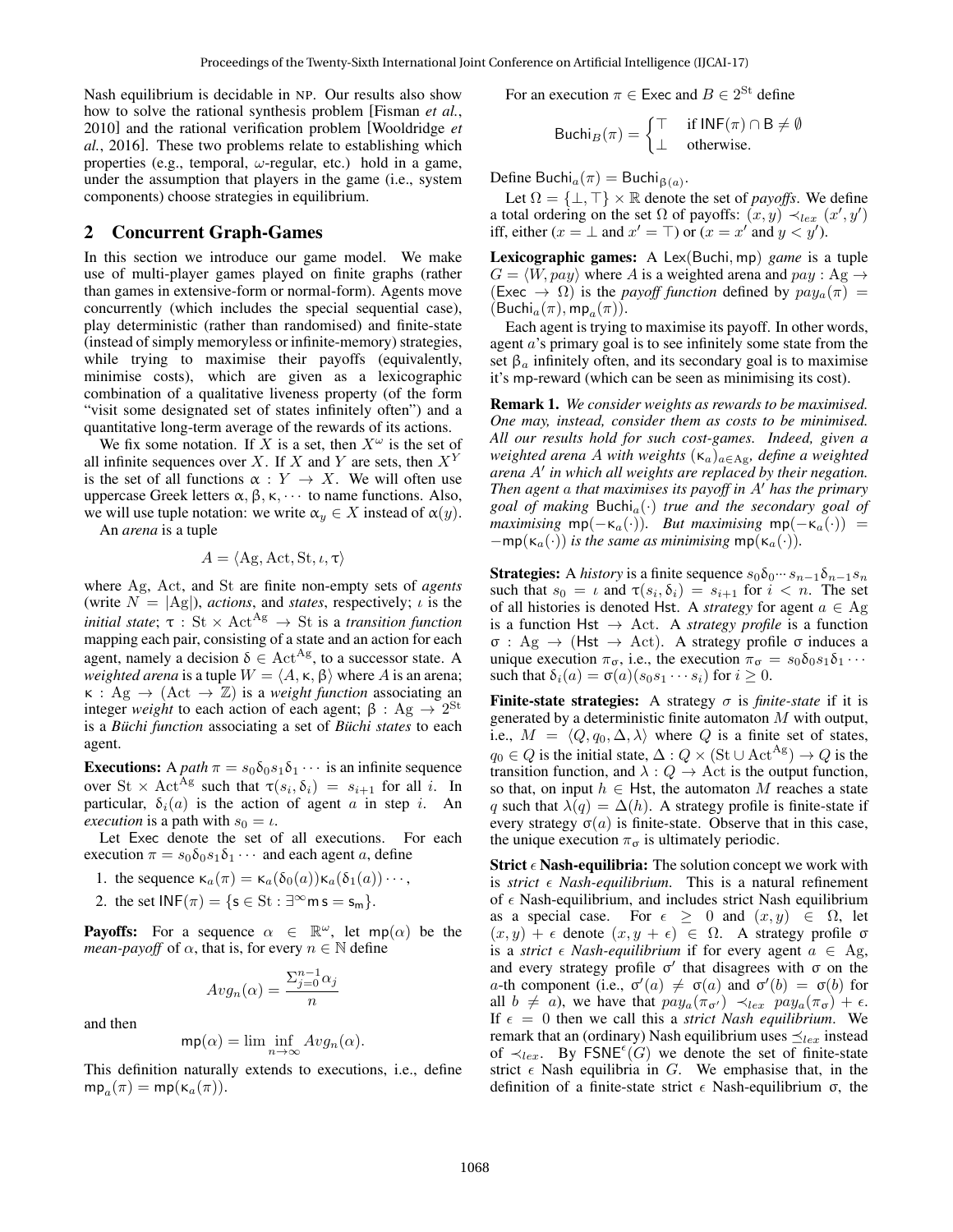Nash equilibrium is decidable in NP. Our results also show how to solve the rational synthesis problem [Fisman *et al.*, 2010] and the rational verification problem [Wooldridge *et al.*, 2016]. These two problems relate to establishing which properties (e.g., temporal,  $\omega$ -regular, etc.) hold in a game, under the assumption that players in the game (i.e., system components) choose strategies in equilibrium.

### 2 Concurrent Graph-Games

In this section we introduce our game model. We make use of multi-player games played on finite graphs (rather than games in extensive-form or normal-form). Agents move concurrently (which includes the special sequential case), play deterministic (rather than randomised) and finite-state (instead of simply memoryless or infinite-memory) strategies, while trying to maximise their payoffs (equivalently, minimise costs), which are given as a lexicographic combination of a qualitative liveness property (of the form "visit some designated set of states infinitely often") and a quantitative long-term average of the rewards of its actions.

We fix some notation. If X is a set, then  $X^{\omega}$  is the set of all infinite sequences over X. If X and Y are sets, then  $X<sup>Y</sup>$ is the set of all functions  $\alpha : Y \to X$ . We will often use uppercase Greek letters  $\alpha$ ,  $\beta$ ,  $\kappa$ ,  $\cdots$  to name functions. Also, we will use tuple notation: we write  $\alpha_y \in X$  instead of  $\alpha(y)$ .

An *arena* is a tuple

$$
A = \langle Ag, Act, St, \iota, \tau \rangle
$$

where Ag, Act, and St are finite non-empty sets of *agents* (write  $N = |Ag|$ ), *actions*, and *states*, respectively;  $\iota$  is the *initial state*;  $\tau$  : St  $\times$  Act<sup>Ag</sup>  $\rightarrow$  St is a *transition function* mapping each pair, consisting of a state and an action for each agent, namely a decision  $\delta \in \text{Act}^{\text{Ag}}$ , to a successor state. A *weighted arena* is a tuple  $W = \langle A, \kappa, \beta \rangle$  where A is an arena;  $\kappa$  : Ag  $\rightarrow$  (Act  $\rightarrow$  Z) is a *weight function* associating an integer *weight* to each action of each agent;  $β$  : Ag  $\rightarrow 2^{St}$ is a *Büchi function* associating a set of *Büchi states* to each agent.

**Executions:** A *path*  $\pi = s_0 \delta_0 s_1 \delta_1 \cdots$  is an infinite sequence over St  $\times$  Act<sup>Ag</sup> such that  $\tau(s_i, \delta_i) = s_{i+1}$  for all i. In particular,  $\delta_i(a)$  is the action of agent a in step i. An *execution* is a path with  $s_0 = \iota$ .

Let Exec denote the set of all executions. For each execution  $\pi = s_0 \delta_0 s_1 \delta_1 \cdots$  and each agent a, define

- 1. the sequence  $\kappa_a(\pi) = \kappa_a(\delta_0(a))\kappa_a(\delta_1(a))\cdots$ ,
- 2. the set  $INF(\pi) = \{s \in St : \exists^{\infty} \text{m } s = s_{m}\}.$

**Payoffs:** For a sequence  $\alpha \in \mathbb{R}^{\omega}$ , let mp( $\alpha$ ) be the *mean-payoff* of  $\alpha$ , that is, for every  $n \in \mathbb{N}$  define

$$
Avg_n(\alpha) = \frac{\sum_{j=0}^{n-1} \alpha_j}{n}
$$

and then

$$
\mathsf{mp}(\alpha) = \lim \inf_{n \to \infty} Avg_n(\alpha).
$$

This definition naturally extends to executions, i.e., define  $mp_a(\pi) = mp(\kappa_a(\pi)).$ 

For an execution  $\pi \in \text{Exec}$  and  $B \in 2^{\text{St}}$  define

$$
\text{Buchi}_B(\pi) = \begin{cases} \top & \text{if INF}(\pi) \cap B \neq \emptyset \\ \bot & \text{otherwise.} \end{cases}
$$

Define Buchi $_a(\pi) = \text{Buchi}_{\beta(a)}$ .

Let  $\Omega = \{\perp, \perp\} \times \mathbb{R}$  denote the set of *payoffs*. We define a total ordering on the set  $\Omega$  of payoffs:  $(x, y) \prec_{lex} (x', y')$ iff, either  $(x = \bot \text{ and } x' = \top)$  or  $(x = x' \text{ and } y < y')$ .

Lexicographic games: A Lex(Buchi, mp) *game* is a tuple  $G = \langle W, pay \rangle$  where A is a weighted arena and  $pay : Ag \rightarrow$ (Exec  $\rightarrow \Omega$ ) is the *payoff function* defined by  $pay_a(\pi)$  =  $(\mathsf{Buchi}_a(\pi), \mathsf{mp}_a(\pi)).$ 

Each agent is trying to maximise its payoff. In other words, agent a's primary goal is to see infinitely some state from the set  $\beta_a$  infinitely often, and its secondary goal is to maximise it's mp-reward (which can be seen as minimising its cost).

Remark 1. *We consider weights as rewards to be maximised. One may, instead, consider them as costs to be minimised. All our results hold for such cost-games. Indeed, given a weighted arena A with weights*  $(\kappa_a)_{a \in Ag}$ *, define a weighted* arena A' in which all weights are replaced by their negation. *Then agent a that maximises its payoff in A' has the primary goal of making* Buchi<sub>a</sub> $(\cdot)$  *true and the secondary goal of maximising*  $mp(-\kappa_a(\cdot))$ *. But maximising*  $mp(-\kappa_a(\cdot))$  =  $-\text{mp}(\kappa_a(\cdot))$  *is the same as minimising* mp( $\kappa_a(\cdot)$ ).

**Strategies:** A *history* is a finite sequence  $s_0\delta_0\cdots s_{n-1}\delta_{n-1}s_n$ such that  $s_0 = \iota$  and  $\tau(s_i, \delta_i) = s_{i+1}$  for  $i < n$ . The set of all histories is denoted Hst. A *strategy* for agent  $a \in Ag$ is a function Hst  $\rightarrow$  Act. A *strategy profile* is a function σ : Ag → (Hst → Act). A strategy profile σ induces a unique execution  $\pi_{\sigma}$ , i.e., the execution  $\pi_{\sigma} = s_0 \delta_0 s_1 \delta_1 \cdots$ such that  $\delta_i(a) = \sigma(a)(s_0s_1 \cdots s_i)$  for  $i \geq 0$ .

Finite-state strategies: A strategy  $\sigma$  is *finite-state* if it is generated by a deterministic finite automaton M with output, i.e.,  $M = \langle Q, q_0, \Delta, \lambda \rangle$  where Q is a finite set of states,  $q_0 \in Q$  is the initial state,  $\Delta: Q \times (\text{St} \cup \text{Act}^{\text{Ag}}) \to Q$  is the transition function, and  $\lambda: Q \to \text{Act}$  is the output function, so that, on input  $h \in$  Hst, the automaton M reaches a state q such that  $\lambda(q) = \Delta(h)$ . A strategy profile is finite-state if every strategy  $\sigma(a)$  is finite-state. Observe that in this case, the unique execution  $\pi_{\sigma}$  is ultimately periodic.

**Strict**  $\epsilon$  **Nash-equilibria:** The solution concept we work with is *strict*  $\epsilon$  *Nash-equilibrium*. This is a natural refinement of  $\epsilon$  Nash-equilibrium, and includes strict Nash equilibrium as a special case. For  $\epsilon \geq 0$  and  $(x, y) \in \Omega$ , let  $(x, y) + \epsilon$  denote  $(x, y + \epsilon) \in \Omega$ . A strategy profile σ is a *strict*  $\epsilon$  *Nash-equilibrium* if for every agent  $a \in Ag$ , and every strategy profile  $\sigma'$  that disagrees with  $\sigma$  on the a-th component (i.e.,  $\sigma'(a) \neq \sigma(a)$  and  $\sigma'(b) = \sigma(b)$  for all  $b \neq a$ , we have that  $pay_a(\pi_{\sigma'}) \prec_{lex} pay_a(\pi_{\sigma}) + \epsilon$ . If  $\epsilon = 0$  then we call this a *strict Nash equilibrium*. We remark that an (ordinary) Nash equilibrium uses  $\preceq_{lex}$  instead of  $\prec_{lex}$ . By FSNE<sup> $\epsilon$ </sup>(G) we denote the set of finite-state strict  $\epsilon$  Nash equilibria in G. We emphasise that, in the definition of a finite-state strict  $\epsilon$  Nash-equilibrium σ, the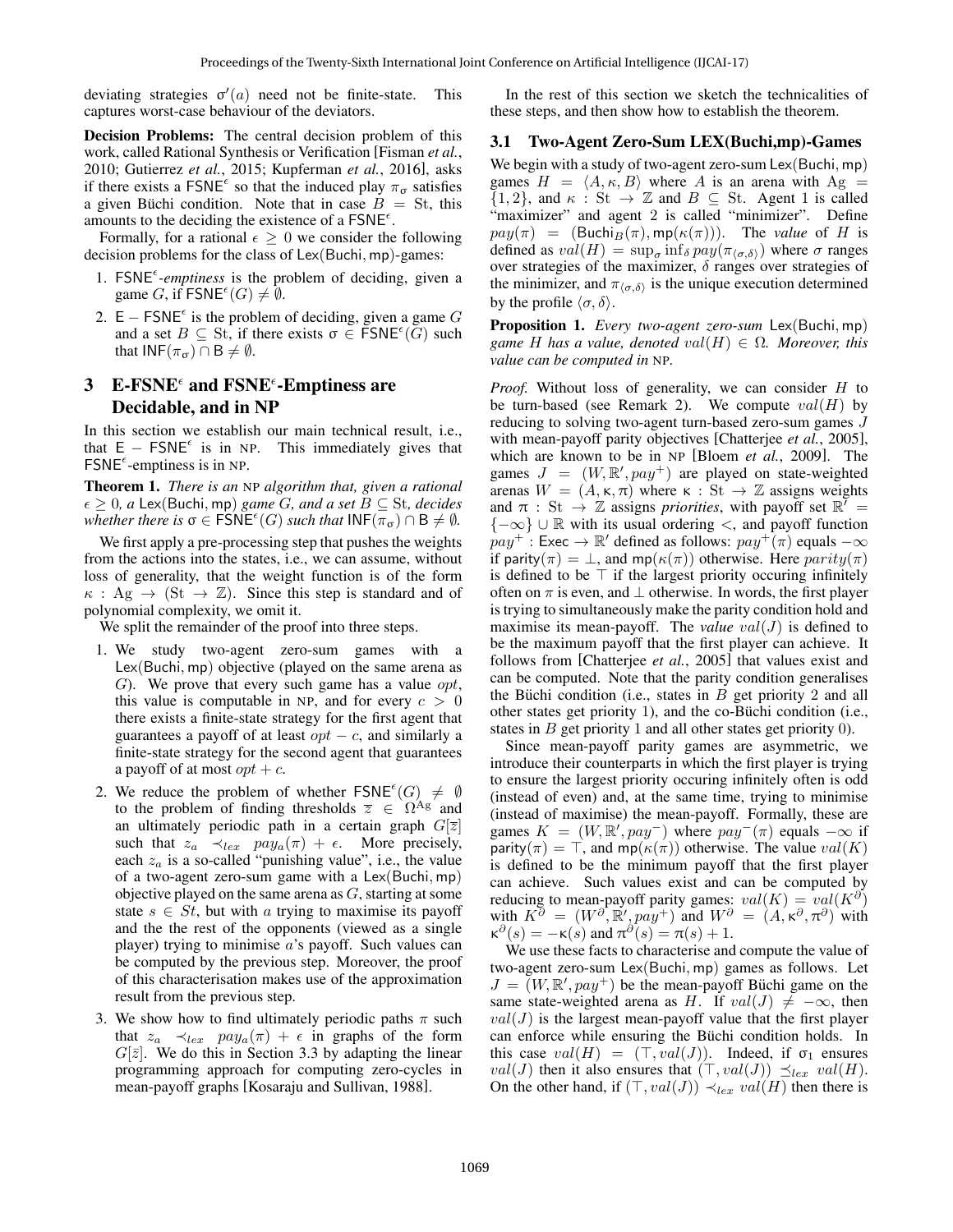deviating strategies  $\sigma'(a)$  need not be finite-state. This captures worst-case behaviour of the deviators.

Decision Problems: The central decision problem of this work, called Rational Synthesis or Verification [Fisman *et al.*, 2010; Gutierrez *et al.*, 2015; Kupferman *et al.*, 2016], asks if there exists a FSNE<sup> $\epsilon$ </sup> so that the induced play  $\pi_{\sigma}$  satisfies a given Büchi condition. Note that in case  $\overline{B} = St$ , this amounts to the deciding the existence of a  $\mathsf{FSNE}^{\epsilon}$ .

Formally, for a rational  $\epsilon \geq 0$  we consider the following decision problems for the class of Lex(Buchi, mp)-games:

- 1.  $FSNE^{\epsilon}$ -emptiness is the problem of deciding, given a game G, if  $\mathsf{FSNE}^{\epsilon}(G) \neq \emptyset$ .
- 2.  $E FSNE^{\epsilon}$  is the problem of deciding, given a game G and a set  $B \subseteq St$ , if there exists  $\sigma \in \text{FSNE}^{\epsilon}(\widetilde{G})$  such that  $INF(\pi_{\sigma}) \cap B \neq \emptyset$ .

# 3 E-FSNE and FSNE  $\epsilon$ -Emptiness are Decidable, and in NP

In this section we establish our main technical result, i.e., that  $E - FSNE<sup>\epsilon</sup>$  is in NP. This immediately gives that  $FSNE^{\epsilon}$ -emptiness is in NP.

Theorem 1. *There is an* NP *algorithm that, given a rational*  $\epsilon \geq 0$ , a Lex(Buchi, mp) *game G, and a set*  $B \subseteq St$ , *decides whether there is*  $\sigma \in \mathsf{FSNE}^{\epsilon}(G)$  *such that*  $\mathsf{INF}(\pi_{\sigma}) \cap \mathsf{B} \neq \emptyset$ .

We first apply a pre-processing step that pushes the weights from the actions into the states, i.e., we can assume, without loss of generality, that the weight function is of the form  $\kappa$ : Ag  $\rightarrow$  (St  $\rightarrow$  Z). Since this step is standard and of polynomial complexity, we omit it.

We split the remainder of the proof into three steps.

- 1. We study two-agent zero-sum games with a Lex(Buchi, mp) objective (played on the same arena as G). We prove that every such game has a value  $opt$ , this value is computable in NP, and for every  $c > 0$ there exists a finite-state strategy for the first agent that guarantees a payoff of at least  $opt - c$ , and similarly a finite-state strategy for the second agent that guarantees a payoff of at most  $opt + c$ .
- 2. We reduce the problem of whether  $\mathsf{FSNE}^{\epsilon}(G) \neq \emptyset$ to the problem of finding thresholds  $\overline{z} \in \Omega^{Ag}$  and an ultimately periodic path in a certain graph  $G[\overline{z}]$ such that  $z_a \prec_{lex} pay_a(\pi) + \epsilon$ . More precisely, each  $z_a$  is a so-called "punishing value", i.e., the value of a two-agent zero-sum game with a Lex(Buchi, mp) objective played on the same arena as  $G$ , starting at some state  $s \in St$ , but with a trying to maximise its payoff and the the rest of the opponents (viewed as a single player) trying to minimise  $a$ 's payoff. Such values can be computed by the previous step. Moreover, the proof of this characterisation makes use of the approximation result from the previous step.
- 3. We show how to find ultimately periodic paths  $\pi$  such that  $z_a \prec_{lex} pay_a(\pi) + \epsilon$  in graphs of the form  $G[\overline{z}]$ . We do this in Section 3.3 by adapting the linear programming approach for computing zero-cycles in mean-payoff graphs [Kosaraju and Sullivan, 1988].

In the rest of this section we sketch the technicalities of these steps, and then show how to establish the theorem.

### 3.1 Two-Agent Zero-Sum LEX(Buchi,mp)-Games

We begin with a study of two-agent zero-sum Lex(Buchi, mp) games  $H = \langle A, \kappa, B \rangle$  where A is an arena with Ag =  $\{1, 2\}$ , and  $\kappa : \text{St} \to \mathbb{Z}$  and  $B \subseteq \text{St}$ . Agent 1 is called "maximizer" and agent 2 is called "minimizer". Define  $pay(\pi) = (Buchi_B(\pi), mp(\kappa(\pi)))$ . The *value* of H is defined as  $val(H) = \sup_{\sigma} \inf_{\delta} pay(\pi_{\langle \sigma, \delta \rangle})$  where  $\sigma$  ranges over strategies of the maximizer,  $\delta$  ranges over strategies of the minimizer, and  $\pi_{\langle \sigma, \delta \rangle}$  is the unique execution determined by the profile  $\langle \sigma, \delta \rangle$ .

Proposition 1. *Every two-agent zero-sum* Lex(Buchi, mp) *game* H has a value, denoted  $val(H) \in \Omega$ . Moreover, this *value can be computed in* NP*.*

*Proof.* Without loss of generality, we can consider H to be turn-based (see Remark 2). We compute  $val(H)$  by reducing to solving two-agent turn-based zero-sum games J with mean-payoff parity objectives [Chatterjee *et al.*, 2005], which are known to be in NP [Bloem *et al.*, 2009]. The games  $J = (W, \mathbb{R}', pay^+)$  are played on state-weighted arenas  $W = (A, \kappa, \pi)$  where  $\kappa : St \to \mathbb{Z}$  assigns weights and  $\pi$  : St  $\rightarrow$  Z assigns *priorities*, with payoff set  $\mathbb{R}^7$  =  ${-\infty}$  ∪ R with its usual ordering  $\lt$ , and payoff function  $pay^+$ : Exec  $\rightarrow \mathbb{R}'$  defined as follows:  $pay^+(\pi)$  equals  $-\infty$ if parity( $\pi$ ) =  $\perp$ , and mp( $\kappa(\pi)$ ) otherwise. Here parity( $\pi$ ) is defined to be  $\top$  if the largest priority occuring infinitely often on  $\pi$  is even, and  $\perp$  otherwise. In words, the first player is trying to simultaneously make the parity condition hold and maximise its mean-payoff. The *value*  $val(J)$  is defined to be the maximum payoff that the first player can achieve. It follows from [Chatterjee *et al.*, 2005] that values exist and can be computed. Note that the parity condition generalises the Büchi condition (i.e., states in  $B$  get priority 2 and all other states get priority 1), and the co-Büchi condition (i.e., states in  $B$  get priority 1 and all other states get priority 0).

Since mean-payoff parity games are asymmetric, we introduce their counterparts in which the first player is trying to ensure the largest priority occuring infinitely often is odd (instead of even) and, at the same time, trying to minimise (instead of maximise) the mean-payoff. Formally, these are games  $K = (W, \mathbb{R}', pay^-)$  where  $pay^-(\pi)$  equals  $-\infty$  if parity( $\pi$ ) =  $\top$ , and mp( $\kappa(\pi)$ ) otherwise. The value  $val(K)$ is defined to be the minimum payoff that the first player can achieve. Such values exist and can be computed by reducing to mean-payoff parity games:  $val(K) = val(K^{\partial})$ with  $K^{\partial} = (W^{\partial}, \mathbb{R}', pay^+)$  and  $W^{\partial} = (A, \kappa^{\partial}, \pi^{\partial})$  with  $\kappa^{\partial}(s) = -\kappa(s)$  and  $\pi^{\partial}(s) = \pi(s) + 1$ .

We use these facts to characterise and compute the value of two-agent zero-sum Lex(Buchi, mp) games as follows. Let  $J = (W, \mathbb{R}', pay^+)$  be the mean-payoff Büchi game on the same state-weighted arena as H. If  $val(J) \neq -\infty$ , then  $val(J)$  is the largest mean-payoff value that the first player can enforce while ensuring the Büchi condition holds. In this case  $val(H) = (\top, val(J))$ . Indeed, if  $\sigma_1$  ensures  $val(J)$  then it also ensures that  $(\top, val(J)) \preceq_{lex} val(H)$ . On the other hand, if  $(\top, val(J)) \prec_{lex} val(H)$  then there is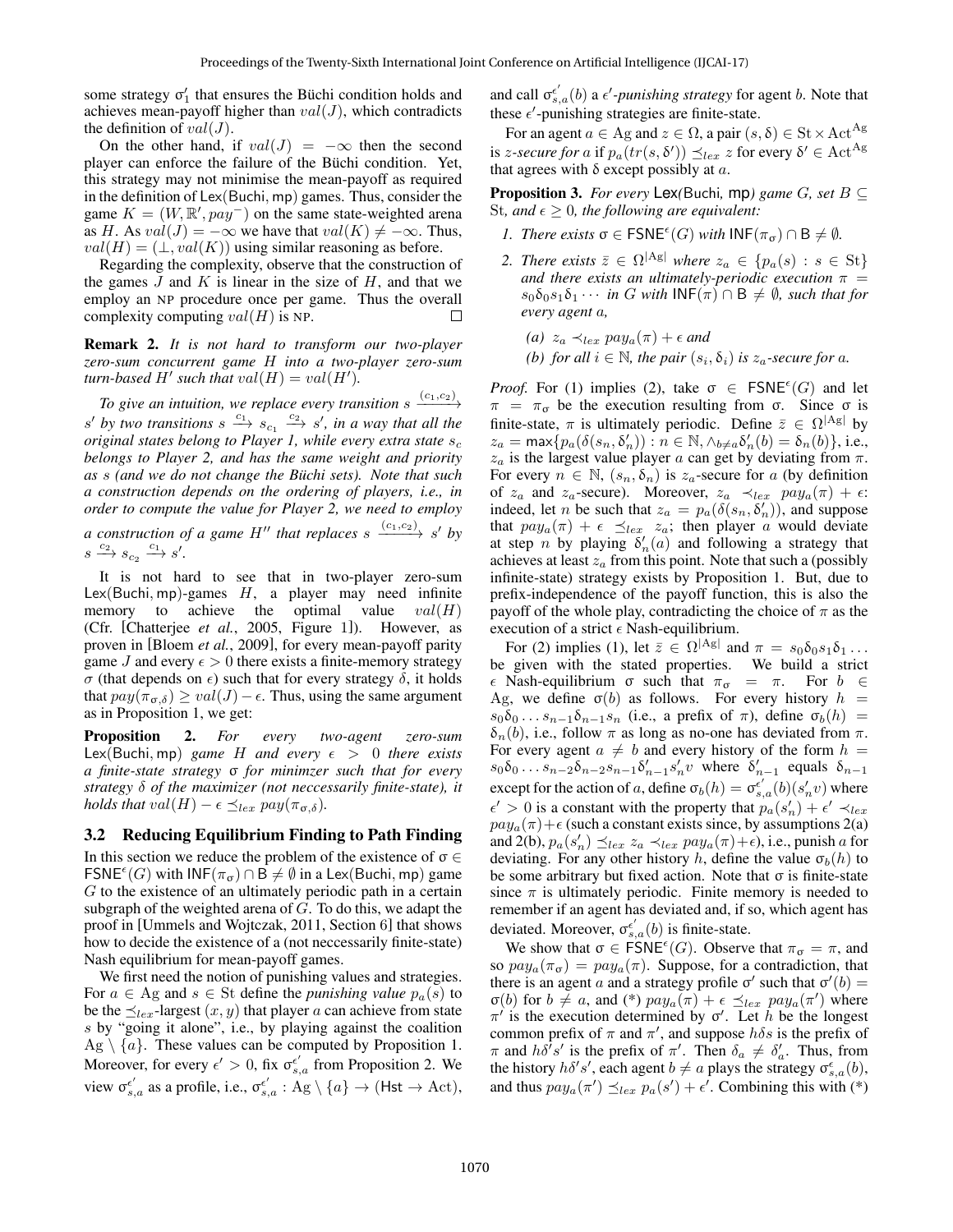some strategy  $\sigma'_{1}$  that ensures the Büchi condition holds and achieves mean-payoff higher than  $val(J)$ , which contradicts the definition of  $val(J)$ .

On the other hand, if  $val(J) = -\infty$  then the second player can enforce the failure of the Büchi condition. Yet, this strategy may not minimise the mean-payoff as required in the definition of Lex(Buchi, mp) games. Thus, consider the game  $K = (W, \mathbb{R}', pay^-)$  on the same state-weighted arena as H. As  $val(J) = -\infty$  we have that  $val(K) \neq -\infty$ . Thus,  $val(H) = (\perp, val(K))$  using similar reasoning as before.

Regarding the complexity, observe that the construction of the games  $J$  and  $K$  is linear in the size of  $H$ , and that we employ an NP procedure once per game. Thus the overall complexity computing  $val(H)$  is NP.

Remark 2. *It is not hard to transform our two-player zero-sum concurrent game* H *into a two-player zero-sum*  $turn$ -based  $H'$  such that  $val(H) = val(H')$ .

To give an intuition, we replace every transition  $s \xrightarrow{(c_1,c_2)}$ s' by two transitions  $s \xrightarrow{c_1} s_{c_1} \xrightarrow{c_2} s'$ , in a way that all the *original states belong to Player 1, while every extra state*  $s_c$ *belongs to Player 2, and has the same weight and priority as* s *(and we do not change the Buchi sets). Note that such ¨ a construction depends on the ordering of players, i.e., in order to compute the value for Player 2, we need to employ*

*a* construction of a game H<sup>"</sup> that replaces s  $\xrightarrow{(c_1,c_2)} s'$  by  $s \xrightarrow{c_2} s_{c_2} \xrightarrow{c_1} s'.$ 

It is not hard to see that in two-player zero-sum Lex(Buchi, mp)-games  $H$ , a player may need infinite memory to achieve the optimal value  $val(H)$ (Cfr. [Chatterjee *et al.*, 2005, Figure 1]). However, as proven in [Bloem *et al.*, 2009], for every mean-payoff parity game J and every  $\epsilon > 0$  there exists a finite-memory strategy σ (that depends on  $\epsilon$ ) such that for every strategy  $\delta$ , it holds that  $pay(\pi_{\sigma,\delta}) \ge val(J) - \epsilon$ . Thus, using the same argument as in Proposition 1, we get:

Proposition 2. *For every two-agent zero-sum* Lex(Buchi, mp) *game* H *and every*  $\epsilon > 0$  *there exists a finite-state strategy* σ *for minimzer such that for every strategy* δ *of the maximizer (not neccessarily finite-state), it holds that*  $val(H) - \epsilon \preceq_{lex} pay(\pi_{\sigma,\delta}).$ 

#### 3.2 Reducing Equilibrium Finding to Path Finding

In this section we reduce the problem of the existence of  $\sigma \in$  $\mathsf{FSNE}^{\epsilon}(G)$  with  $\mathsf{INF}(\pi_{\sigma}) \cap \mathsf{B} \neq \emptyset$  in a Lex(Buchi, mp) game  $G$  to the existence of an ultimately periodic path in a certain subgraph of the weighted arena of  $G$ . To do this, we adapt the proof in [Ummels and Wojtczak, 2011, Section 6] that shows how to decide the existence of a (not neccessarily finite-state) Nash equilibrium for mean-payoff games.

We first need the notion of punishing values and strategies. For  $a \in Ag$  and  $s \in St$  define the *punishing value*  $p_a(s)$  to be the  $\preceq_{lex}$ -largest  $(x, y)$  that player a can achieve from state s by "going it alone", i.e., by playing against the coalition  $\text{Ag} \setminus \{a\}$ . These values can be computed by Proposition 1. Moreover, for every  $\epsilon' > 0$ , fix  $\sigma_{s,a}^{\epsilon'}$  from Proposition 2. We view  $\sigma_{s,a}^{\epsilon'}$  as a profile, i.e.,  $\sigma_{s,a}^{\epsilon'} : Ag \setminus \{a\} \to (Hst \to Act),$ 

and call  $\sigma_{s,a}^{\epsilon'}(b)$  a  $\epsilon'$ -*punishing strategy* for agent *b*. Note that these  $\epsilon'$ -punishing strategies are finite-state.

For an agent  $a \in Ag$  and  $z \in \Omega$ , a pair  $(s, \delta) \in \text{St} \times \text{Act}^{\text{Ag}}$ is *z-secure for a* if  $p_a(tr(s, \delta')) \preceq_{lex} z$  for every  $\delta' \in \operatorname{Act}^{\operatorname{Ag}}$ that agrees with δ except possibly at  $a$ .

**Proposition 3.** *For every* Lex(Buchi, mp) game G, set  $B \subseteq$ St, and  $\epsilon \geq 0$ , the following are equivalent:

- *1. There exists*  $\sigma \in \text{FSNE}^{\epsilon}(G)$  *with*  $\text{INF}(\pi_{\sigma}) \cap B \neq \emptyset$ *.*
- *2. There exists*  $\bar{z} \in \Omega^{|Ag|}$  *where*  $z_a \in \{p_a(s) : s \in St\}$ *and there exists an ultimately-periodic execution*  $\pi$  =  $s_0\delta_0s_1\delta_1\cdots$  *in G with*  $\mathsf{INF}(\pi) \cap \mathsf{B} \neq \emptyset$ , such that for *every agent* a*,*

(a) 
$$
z_a \prec_{lex} pay_a(\pi) + \epsilon
$$
 and

*(b)* for all  $i \in \mathbb{N}$ , the pair  $(s_i, \delta_i)$  is  $z_a$ -secure for a.

*Proof.* For (1) implies (2), take  $\sigma \in \text{FSNE}^{\epsilon}(G)$  and let  $\pi = \pi_{\sigma}$  be the execution resulting from  $\sigma$ . Since  $\sigma$  is finite-state,  $\pi$  is ultimately periodic. Define  $\bar{z} \in \Omega^{|Ag|}$  by  $z_a = \max\{p_a(\delta(s_n, \delta'_n)) : n \in \mathbb{N}, \wedge_{b \neq a} \delta'_n(b) = \delta_n(b)\}, \text{ i.e., }$  $z_a$  is the largest value player a can get by deviating from  $\pi$ . For every  $n \in \mathbb{N}$ ,  $(s_n, \delta_n)$  is  $z_a$ -secure for a (by definition of  $z_a$  and  $z_a$ -secure). Moreover,  $z_a \prec_{lex} pay_a(\pi) + \epsilon$ : indeed, let *n* be such that  $z_a = p_a(\delta(s_n, \delta'_n))$ , and suppose that  $pay_a(\pi) + \epsilon \preceq_{lex} z_a$ ; then player a would deviate at step *n* by playing  $\delta'_n(a)$  and following a strategy that achieves at least  $z_a$  from this point. Note that such a (possibly infinite-state) strategy exists by Proposition 1. But, due to prefix-independence of the payoff function, this is also the payoff of the whole play, contradicting the choice of  $\pi$  as the execution of a strict  $\epsilon$  Nash-equilibrium.

For (2) implies (1), let  $\bar{z} \in \Omega^{|\mathcal{A}g|}$  and  $\pi = s_0 \delta_0 s_1 \delta_1 \dots$ be given with the stated properties. We build a strict  $\epsilon$  Nash-equilibrium σ such that  $\pi_{\sigma} = \pi$ . For  $b \in$ Ag, we define  $\sigma(b)$  as follows. For every history  $h =$  $s_0\delta_0 \ldots s_{n-1}\delta_{n-1}s_n$  (i.e., a prefix of  $\pi$ ), define  $\sigma_b(h)$  =  $\delta_n(b)$ , i.e., follow  $\pi$  as long as no-one has deviated from  $\pi$ . For every agent  $a \neq b$  and every history of the form  $h =$  $s_0\delta_0 \dots s_{n-2}\delta_{n-2}s_{n-1}\delta'_{n-1}s'_n v$  where  $\delta'_{n-1}$  equals  $\delta_{n-1}$ except for the action of a, define  $\sigma_b(h) = \sigma_{s,a}^{\epsilon'}(b)(s_n'v)$  where  $\epsilon' > 0$  is a constant with the property that  $p_a(s'_n) + \epsilon' \prec_{lex}$  $pay<sub>a</sub>(\pi)+\epsilon$  (such a constant exists since, by assumptions 2(a) and 2(b),  $p_a(s'_n) \preceq_{lex} z_a \prec_{lex} pay_a(\pi)+\epsilon$ ), i.e., punish a for deviating. For any other history h, define the value  $\sigma_b(h)$  to be some arbitrary but fixed action. Note that  $\sigma$  is finite-state since  $\pi$  is ultimately periodic. Finite memory is needed to remember if an agent has deviated and, if so, which agent has deviated. Moreover,  $\sigma_{s,a}^{\epsilon'}(b)$  is finite-state.

We show that  $\sigma \in \text{FSNE}^{\epsilon}(G)$ . Observe that  $\pi_{\sigma} = \pi$ , and so  $pay_a(\pi_{\sigma}) = pay_a(\pi)$ . Suppose, for a contradiction, that there is an agent a and a strategy profile  $\sigma'$  such that  $\sigma'(b)$  =  $\sigma(b)$  for  $b \neq a$ , and (\*)  $pay_a(\pi) + \epsilon \preceq_{lex} pay_a(\pi')$  where  $\pi'$  is the execution determined by  $\sigma'$ . Let h be the longest common prefix of  $\pi$  and  $\pi'$ , and suppose  $h\delta s$  is the prefix of  $\pi$  and  $h\delta^{\gamma}s'$  is the prefix of  $\pi'$ . Then  $\delta_a \neq \delta'_a$ . Thus, from the history  $h\delta's'$ , each agent  $b \neq a$  plays the strategy  $\sigma_{s,a}^{\epsilon}(b)$ , and thus  $pay_a(\pi') \preceq_{lex} p_a(s') + \epsilon'$ . Combining this with (\*)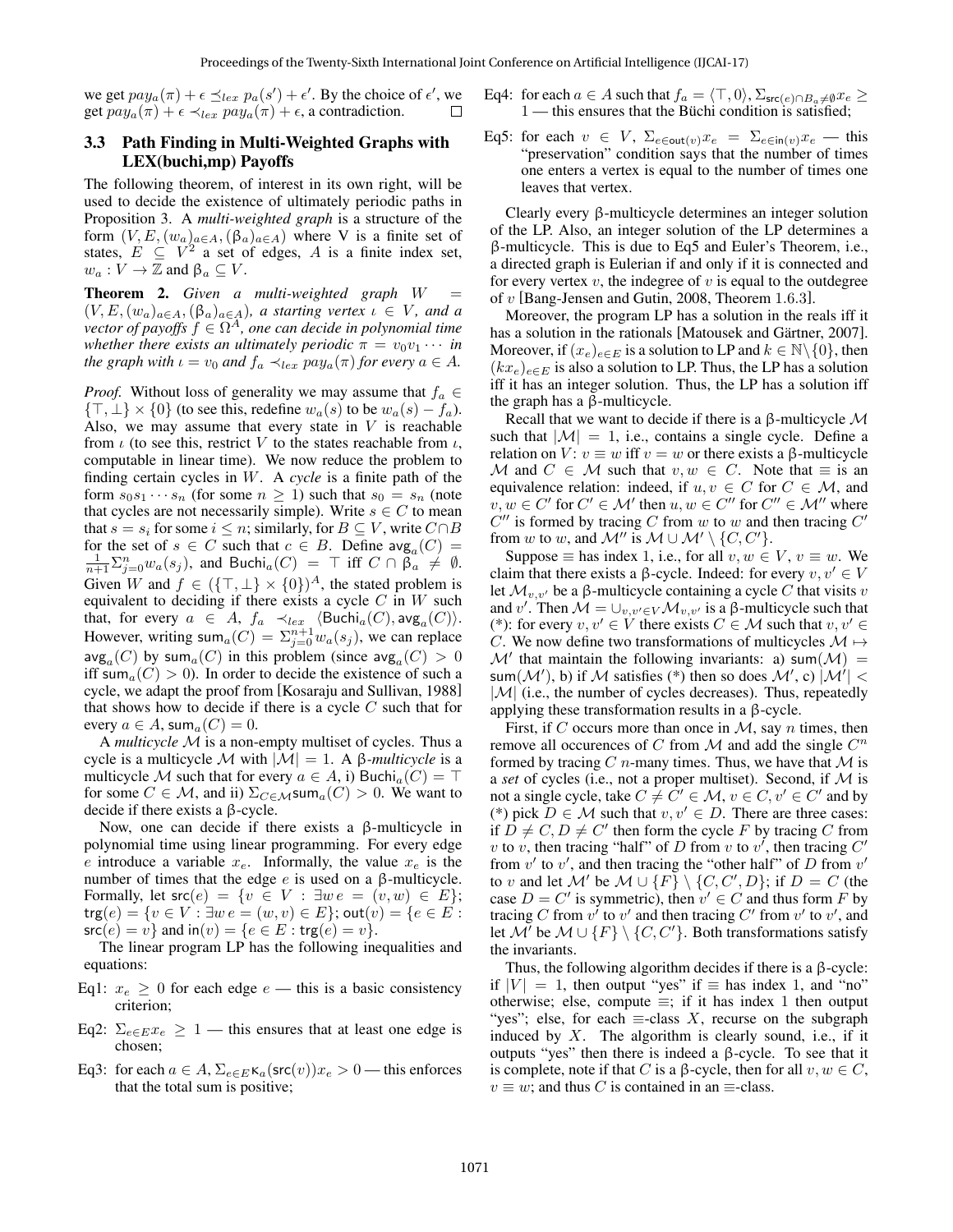we get  $pay_a(\pi) + \epsilon \preceq_{lex} p_a(s') + \epsilon'$ . By the choice of  $\epsilon'$ , we get  $pay_a(\pi) + \epsilon \prec_{lex} pay_a(\pi) + \epsilon$ , a contradiction. П

### 3.3 Path Finding in Multi-Weighted Graphs with LEX(buchi,mp) Payoffs

The following theorem, of interest in its own right, will be used to decide the existence of ultimately periodic paths in Proposition 3. A *multi-weighted graph* is a structure of the form  $(V, E, (w_a)_{a \in A}, (\beta_a)_{a \in A})$  where V is a finite set of states,  $E \subseteq V^2$  a set of edges, A is a finite index set,  $w_a: V \to \mathbb{Z}$  and  $\beta_a \subseteq V$ .

**Theorem 2.** *Given a multi-weighted graph*  $W =$  $(V, E, (w_a)_{a \in A}, (\beta_a)_{a \in A})$ *, a starting vertex*  $\iota \in V$ *, and a*  $\alpha$ *vector of payoffs*  $f \in \Omega^A$ , one can decide in polynomial time *whether there exists an ultimately periodic*  $\pi = v_0v_1 \cdots$  *in the graph with*  $\iota = v_0$  *and*  $f_a \prec_{lex} pay_a(\pi)$  *for every*  $a \in A$ *.* 

*Proof.* Without loss of generality we may assume that  $f_a \in$  $\{\top, \bot\} \times \{0\}$  (to see this, redefine  $w_a(s)$  to be  $w_a(s) - f_a$ ). Also, we may assume that every state in  $V$  is reachable from  $\iota$  (to see this, restrict V to the states reachable from  $\iota$ , computable in linear time). We now reduce the problem to finding certain cycles in W. A *cycle* is a finite path of the form  $s_0s_1 \cdots s_n$  (for some  $n \ge 1$ ) such that  $s_0 = s_n$  (note that cycles are not necessarily simple). Write  $s \in C$  to mean that  $s = s_i$  for some  $i \leq n$ ; similarly, for  $B \subseteq V$ , write  $C \cap B$ for the set of  $s \in C$  such that  $c \in B$ . Define  $\text{avg}_a(C) =$  $\frac{1}{n+1} \sum_{j=0}^{n} w_a(s_j)$ , and Buchi<sub>a</sub> $(C)$  =  $\top$  iff  $C \cap \tilde{\beta}_a \neq \emptyset$ . Given W and  $f \in (\{\top, \bot\} \times \{0\})^A$ , the stated problem is equivalent to deciding if there exists a cycle  $C$  in  $W$  such that, for every  $a \in A$ ,  $f_a \prec_{lex} \langle \text{Buchi}_a(C), \text{avg}_a(C) \rangle$ . However, writing sum $_a(C) = \sum_{j=0}^{n+1} w_a(s_j)$ , we can replace  $\log_a(C)$  by sum $_a(C)$  in this problem (since  $\log_a(C) > 0$ iff sum<sub>a</sub> $(C) > 0$ ). In order to decide the existence of such a cycle, we adapt the proof from [Kosaraju and Sullivan, 1988] that shows how to decide if there is a cycle  $C$  such that for every  $a \in A$ , sum $_a(C) = 0$ .

A *multicycle* M is a non-empty multiset of cycles. Thus a cycle is a multicycle M with  $|M| = 1$ . A  $\beta$ -multicycle is a multicycle M such that for every  $a \in A$ , i) Buchi<sub>a</sub> $(C) = \top$ for some  $C \in \mathcal{M}$ , and ii)  $\Sigma_{C \in \mathcal{M}}$ sum $_a(C) > 0$ . We want to decide if there exists a β-cycle.

Now, one can decide if there exists a β-multicycle in polynomial time using linear programming. For every edge e introduce a variable  $x_e$ . Informally, the value  $x_e$  is the number of times that the edge  $e$  is used on a β-multicycle. Formally, let  $src(e) = \{v \in V : \exists w e = (v, w) \in E\};$  $\text{trg}(e) = \{v \in V : \exists w \, e = (w, v) \in E\}; \text{out}(v) = \{e \in E :$  $\mathsf{src}(e) = v$  and  $\mathsf{in}(v) = \{e \in E : \mathsf{trg}(e) = v\}.$ 

The linear program LP has the following inequalities and equations:

- Eq1:  $x_e \geq 0$  for each edge  $e$  this is a basic consistency criterion;
- Eq2:  $\Sigma_{e \in E} x_e \geq 1$  this ensures that at least one edge is chosen;
- Eq3: for each  $a \in A$ ,  $\Sigma_{e \in E}$   $\kappa_a$  (src $(v)$ ) $x_e > 0$  this enforces that the total sum is positive;
- Eq4: for each  $a \in A$  such that  $f_a = \langle \top, 0 \rangle$ ,  $\Sigma_{\mathsf{src}(e) \cap B_a \neq \emptyset} x_e \geq$  $1$  — this ensures that the Büchi condition is satisfied;
- Eq5: for each  $v \in V$ ,  $\Sigma_{e \in \text{out}(v)} x_e = \Sigma_{e \in \text{in}(v)} x_e$  this "preservation" condition says that the number of times one enters a vertex is equal to the number of times one leaves that vertex.

Clearly every β-multicycle determines an integer solution of the LP. Also, an integer solution of the LP determines a β-multicycle. This is due to Eq5 and Euler's Theorem, i.e., a directed graph is Eulerian if and only if it is connected and for every vertex  $v$ , the indegree of  $v$  is equal to the outdegree of v [Bang-Jensen and Gutin, 2008, Theorem 1.6.3].

Moreover, the program LP has a solution in the reals iff it has a solution in the rationals [Matousek and Gärtner, 2007]. Moreover, if  $(x_e)_{e \in E}$  is a solution to LP and  $k \in \mathbb{N} \setminus \{0\}$ , then  $(kx_e)_{e \in E}$  is also a solution to LP. Thus, the LP has a solution iff it has an integer solution. Thus, the LP has a solution iff the graph has a β-multicycle.

Recall that we want to decide if there is a  $\beta$ -multicycle M such that  $|M| = 1$ , i.e., contains a single cycle. Define a relation on V:  $v \equiv w$  iff  $v = w$  or there exists a β-multicycle M and  $C \in \mathcal{M}$  such that  $v, w \in C$ . Note that  $\equiv$  is an equivalence relation: indeed, if  $u, v \in C$  for  $C \in \mathcal{M}$ , and  $v, w \in C'$  for  $C' \in \mathcal{M}'$  then  $u, w \in C''$  for  $C'' \in \mathcal{M}''$  where  $C''$  is formed by tracing C from w to w and then tracing  $C'$ from w to w, and  $\mathcal{M}''$  is  $\mathcal{M} \cup \mathcal{M}' \setminus \{C, C'\}.$ 

Suppose  $\equiv$  has index 1, i.e., for all  $v, w \in V$ ,  $v \equiv w$ . We claim that there exists a β-cycle. Indeed: for every  $v, v' \in V$ let  $\mathcal{M}_{v,v'}$  be a β-multicycle containing a cycle C that visits v and v'. Then  $\mathcal{M} = \bigcup_{v,v' \in V} \mathcal{M}_{v,v'}$  is a  $\beta$ -multicycle such that (\*): for every  $v, v' \in V$  there exists  $C \in \mathcal{M}$  such that  $v, v' \in V$ C. We now define two transformations of multicycles  $\mathcal{M} \mapsto$  $\mathcal{M}'$  that maintain the following invariants: a) sum $(\mathcal{M})$  = sum $(\mathcal{M}'),$  b) if  $\mathcal M$  satisfies (\*) then so does  $\mathcal M',$  c)  $|\mathcal M'| <$  $|\mathcal{M}|$  (i.e., the number of cycles decreases). Thus, repeatedly applying these transformation results in a β-cycle.

First, if C occurs more than once in  $M$ , say n times, then remove all occurences of C from  $\mathcal M$  and add the single  $C^n$ formed by tracing  $C$  *n*-many times. Thus, we have that  $M$  is a *set* of cycles (i.e., not a proper multiset). Second, if M is not a single cycle, take  $C \neq C' \in \mathcal{M}$ ,  $v \in C$ ,  $v' \in C'$  and by (\*) pick  $D \in \mathcal{M}$  such that  $v, v' \in D$ . There are three cases: if  $\overline{D} \neq C, D \neq C'$  then form the cycle F by tracing C from v to v, then tracing "half" of D from v to v', then tracing  $C'$ from  $v'$  to  $v'$ , and then tracing the "other half" of D from  $v'$ to v and let M' be  $\mathcal{M} \cup \{F\} \setminus \{C, C', D\}$ ; if  $D = C$  (the case  $D = C'$  is symmetric), then  $v' \in C$  and thus form F by tracing C from  $v'$  to  $v'$  and then tracing C' from  $v'$  to  $v'$ , and let M' be  $M \cup \{F\} \setminus \{C, C'\}$ . Both transformations satisfy the invariants.

Thus, the following algorithm decides if there is a β-cycle: if  $|V| = 1$ , then output "yes" if  $\equiv$  has index 1, and "no" otherwise; else, compute  $\equiv$ ; if it has index 1 then output "yes"; else, for each  $\equiv$ -class X, recurse on the subgraph induced by  $X$ . The algorithm is clearly sound, i.e., if it outputs "yes" then there is indeed a β-cycle. To see that it is complete, note if that C is a β-cycle, then for all  $v, w \in C$ ,  $v \equiv w$ ; and thus C is contained in an  $\equiv$ -class.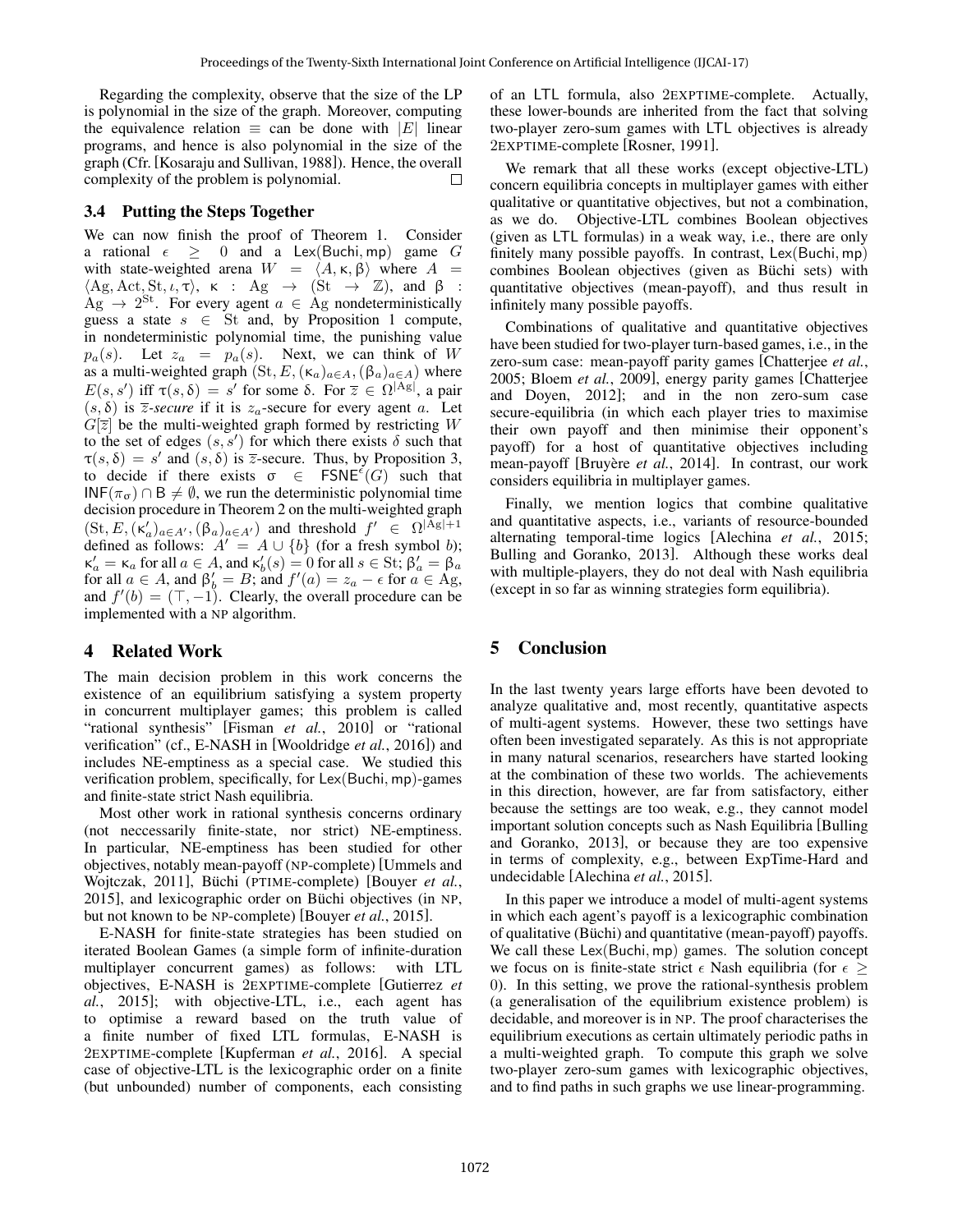Regarding the complexity, observe that the size of the LP is polynomial in the size of the graph. Moreover, computing the equivalence relation  $\equiv$  can be done with  $|E|$  linear programs, and hence is also polynomial in the size of the graph (Cfr. [Kosaraju and Sullivan, 1988]). Hence, the overall complexity of the problem is polynomial.

## 3.4 Putting the Steps Together

We can now finish the proof of Theorem 1. Consider a rational  $\epsilon \geq 0$  and a Lex(Buchi, mp) game G with state-weighted arena  $W = \langle A, \kappa, \beta \rangle$  where  $A =$  $\langle Ag, Act, St, \iota, \tau \rangle$ ,  $\kappa$  : Ag  $\rightarrow$   $(St \rightarrow Z)$ , and  $\beta$  :  $\text{Ag} \rightarrow 2^{\text{St}}$ . For every agent  $a \in \text{Ag}$  nondeterministically guess a state  $s \in$  St and, by Proposition 1 compute, in nondeterministic polynomial time, the punishing value  $p_a(s)$ . Let  $z_a = p_a(s)$ . Next, we can think of W as a multi-weighted graph  $(St, E, (\kappa_a)_{a \in A}, (\beta_a)_{a \in A})$  where  $E(s, s')$  iff  $\tau(s, \delta) = s'$  for some  $\delta$ . For  $\overline{z} \in \Omega^{|A g|}$ , a pair  $(s, \delta)$  is  $\overline{z}$ -secure if it is  $z_a$ -secure for every agent a. Let  $G[\overline{z}]$  be the multi-weighted graph formed by restricting W to the set of edges  $(s, s')$  for which there exists  $\delta$  such that  $\tau(s,\delta) = s'$  and  $(s,\delta)$  is  $\overline{z}$ -secure. Thus, by Proposition 3, to decide if there exists  $\sigma \in \text{FSNE}^{\epsilon}(G)$  such that INF( $\pi_{\sigma}$ ) ∩ B  $\neq \emptyset$ , we run the deterministic polynomial time decision procedure in Theorem 2 on the multi-weighted graph  $(\text{St}, E, (\kappa_a')_{a \in A'}, (\beta_a)_{a \in A'})$  and threshold  $f' \in \Omega^{|A \cdot g| + 1}$ defined as follows:  $A' = A \cup \{b\}$  (for a fresh symbol b);  $\kappa'_a = \kappa_a$  for all  $a \in A$ , and  $\kappa'_b(s) = 0$  for all  $s \in S_t$ ;  $\beta'_a = \beta_a$ for all  $a \in A$ , and  $\beta'_b = B$ ; and  $f'(a) = z_a - \epsilon$  for  $a \in Ag$ , and  $f'(b) = (\top, -1)$ . Clearly, the overall procedure can be implemented with a NP algorithm.

# 4 Related Work

The main decision problem in this work concerns the existence of an equilibrium satisfying a system property in concurrent multiplayer games; this problem is called "rational synthesis" [Fisman *et al.*, 2010] or "rational verification" (cf., E-NASH in [Wooldridge *et al.*, 2016]) and includes NE-emptiness as a special case. We studied this verification problem, specifically, for Lex(Buchi, mp)-games and finite-state strict Nash equilibria.

Most other work in rational synthesis concerns ordinary (not neccessarily finite-state, nor strict) NE-emptiness. In particular, NE-emptiness has been studied for other objectives, notably mean-payoff (NP-complete) [Ummels and Wojtczak, 2011], Büchi (PTIME-complete) [Bouyer *et al.*, 2015], and lexicographic order on Büchi objectives (in NP, but not known to be NP-complete) [Bouyer *et al.*, 2015].

E-NASH for finite-state strategies has been studied on iterated Boolean Games (a simple form of infinite-duration multiplayer concurrent games) as follows: with LTL objectives, E-NASH is 2EXPTIME-complete [Gutierrez *et al.*, 2015]; with objective-LTL, i.e., each agent has to optimise a reward based on the truth value of a finite number of fixed LTL formulas, E-NASH is 2EXPTIME-complete [Kupferman *et al.*, 2016]. A special case of objective-LTL is the lexicographic order on a finite (but unbounded) number of components, each consisting of an LTL formula, also 2EXPTIME-complete. Actually, these lower-bounds are inherited from the fact that solving two-player zero-sum games with LTL objectives is already 2EXPTIME-complete [Rosner, 1991].

We remark that all these works (except objective-LTL) concern equilibria concepts in multiplayer games with either qualitative or quantitative objectives, but not a combination, as we do. Objective-LTL combines Boolean objectives (given as LTL formulas) in a weak way, i.e., there are only finitely many possible payoffs. In contrast, Lex(Buchi, mp) combines Boolean objectives (given as Büchi sets) with quantitative objectives (mean-payoff), and thus result in infinitely many possible payoffs.

Combinations of qualitative and quantitative objectives have been studied for two-player turn-based games, i.e., in the zero-sum case: mean-payoff parity games [Chatterjee *et al.*, 2005; Bloem *et al.*, 2009], energy parity games [Chatterjee and Doyen, 2012]; and in the non zero-sum case secure-equilibria (in which each player tries to maximise their own payoff and then minimise their opponent's payoff) for a host of quantitative objectives including mean-payoff [Bruyère *et al.*, 2014]. In contrast, our work considers equilibria in multiplayer games.

Finally, we mention logics that combine qualitative and quantitative aspects, i.e., variants of resource-bounded alternating temporal-time logics [Alechina *et al.*, 2015; Bulling and Goranko, 2013]. Although these works deal with multiple-players, they do not deal with Nash equilibria (except in so far as winning strategies form equilibria).

# 5 Conclusion

In the last twenty years large efforts have been devoted to analyze qualitative and, most recently, quantitative aspects of multi-agent systems. However, these two settings have often been investigated separately. As this is not appropriate in many natural scenarios, researchers have started looking at the combination of these two worlds. The achievements in this direction, however, are far from satisfactory, either because the settings are too weak, e.g., they cannot model important solution concepts such as Nash Equilibria [Bulling and Goranko, 2013], or because they are too expensive in terms of complexity, e.g., between ExpTime-Hard and undecidable [Alechina *et al.*, 2015].

In this paper we introduce a model of multi-agent systems in which each agent's payoff is a lexicographic combination of qualitative (Büchi) and quantitative (mean-payoff) payoffs. We call these Lex(Buchi, mp) games. The solution concept we focus on is finite-state strict  $\epsilon$  Nash equilibria (for  $\epsilon \geq$ 0). In this setting, we prove the rational-synthesis problem (a generalisation of the equilibrium existence problem) is decidable, and moreover is in NP. The proof characterises the equilibrium executions as certain ultimately periodic paths in a multi-weighted graph. To compute this graph we solve two-player zero-sum games with lexicographic objectives, and to find paths in such graphs we use linear-programming.